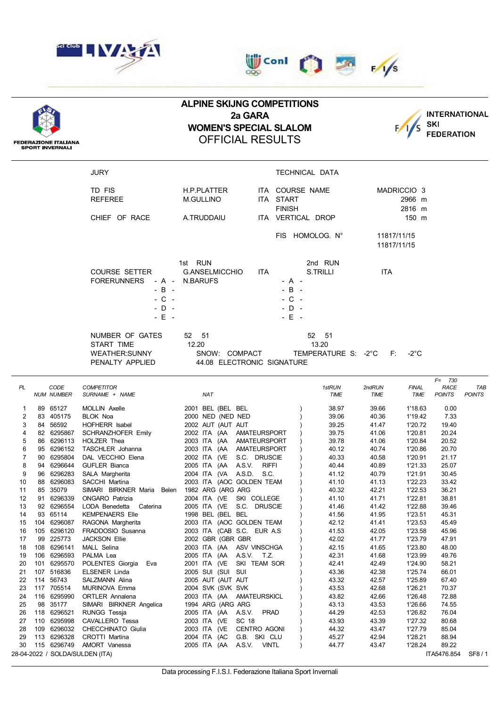





## **ALPINE SKIJNG COMPETITIONS 2a GARA WOMEN'S SPECIAL SLALOM** OFFICIAL RESULTS



|          |    |                          | <b>JURY</b>                                       |                                                              |              |                 | TECHNICAL DATA      |                                  |                    |                |               |
|----------|----|--------------------------|---------------------------------------------------|--------------------------------------------------------------|--------------|-----------------|---------------------|----------------------------------|--------------------|----------------|---------------|
|          |    |                          | TD FIS                                            | H.P.PLATTER                                                  |              |                 | ITA COURSE NAME     |                                  |                    |                |               |
|          |    |                          | <b>REFEREE</b>                                    | M.GULLINO                                                    |              | ITA START       |                     | MADRICCIO <sub>3</sub><br>2966 m |                    |                |               |
|          |    |                          |                                                   | A.TRUDDAIU                                                   |              | <b>FINISH</b>   |                     |                                  |                    |                |               |
|          |    |                          | CHIEF OF RACE                                     |                                                              |              |                 | ITA VERTICAL DROP   |                                  | 2816 m<br>150 m    |                |               |
|          |    |                          |                                                   |                                                              |              |                 |                     |                                  |                    |                |               |
|          |    |                          |                                                   |                                                              |              | FIS HOMOLOG. N° |                     | 11817/11/15<br>11817/11/15       |                    |                |               |
|          |    |                          |                                                   | 1st RUN                                                      |              |                 | 2nd RUN             |                                  |                    |                |               |
|          |    |                          | <b>COURSE SETTER</b>                              | <b>G.ANSELMICCHIO</b>                                        | ITA.         |                 | <b>S.TRILLI</b>     | ITA                              |                    |                |               |
|          |    |                          | <b>FORERUNNERS</b><br>- A -                       | N.BARUFS                                                     |              | - A -           |                     |                                  |                    |                |               |
|          |    |                          | $-B -$                                            |                                                              |              | - B -           |                     |                                  |                    |                |               |
|          |    |                          | $-C -$                                            |                                                              |              | $-$ C $-$       |                     |                                  |                    |                |               |
|          |    |                          | $-$ D $-$                                         |                                                              |              | $-$ D $-$       |                     |                                  |                    |                |               |
|          |    |                          | - E -                                             |                                                              |              | - E -           |                     |                                  |                    |                |               |
|          |    |                          |                                                   |                                                              |              |                 |                     |                                  |                    |                |               |
|          |    |                          | NUMBER OF GATES                                   | 52 51                                                        |              |                 | 52 51               |                                  |                    |                |               |
|          |    |                          | START TIME                                        | 12.20                                                        |              |                 | 13.20               |                                  |                    |                |               |
|          |    |                          | <b>WEATHER:SUNNY</b>                              | SNOW: COMPACT                                                |              |                 | TEMPERATURE S: -2°C | - F: 1                           | -2°C               |                |               |
|          |    |                          | PENALTY APPLIED                                   | 44.08 ELECTRONIC SIGNATURE                                   |              |                 |                     |                                  |                    |                |               |
|          |    |                          |                                                   |                                                              |              |                 |                     |                                  |                    | $F = 730$      |               |
| PL       |    | CODE                     | <b>COMPETITOR</b>                                 |                                                              |              |                 | 1stRUN              | 2ndRUN                           | <b>FINAL</b>       | <b>RACE</b>    | TAB           |
|          |    | <b>NUM NUMBER</b>        | SURNAME + NAME                                    | <b>NAT</b>                                                   |              |                 | TIME                | TIME                             | TIME               | <b>POINTS</b>  | <b>POINTS</b> |
| 1        |    | 89 65127                 | MOLLIN Axelle                                     | 2001 BEL (BEL BEL                                            |              |                 | 38.97               | 39.66                            | 1'18.63            | 0.00           |               |
| 2        |    | 83 405175                | <b>BLOK Noa</b>                                   | 2000 NED (NED NED                                            |              |                 | 39.06               | 40.36                            | 1'19.42            | 7.33           |               |
| 3        |    | 84 56592                 | HOFHERR Isabel                                    | 2002 AUT (AUT AUT                                            |              |                 | 39.25               | 41.47                            | 1'20.72            | 19.40          |               |
| 4        |    | 82 6295867               | SCHRANZHOFER Emily                                | 2002 ITA (AA<br>AMATEURSPORT                                 |              |                 | 39.75               | 41.06                            | 1'20.81            | 20.24          |               |
| 5<br>6   |    | 86 6296113<br>95 6296152 | HOLZER Thea<br>TASCHLER Johanna                   | 2003 ITA (AA<br>AMATEURSPORT<br>2003 ITA (AA<br>AMATEURSPORT |              |                 | 39.78<br>40.12      | 41.06<br>40.74                   | 1'20.84<br>1'20.86 | 20.52<br>20.70 |               |
| 7        |    | 90 6295804               | DAL VECCHIO Elena                                 | 2002 ITA (VE<br>S.C. DRUSCIE                                 |              |                 | 40.33               | 40.58                            | 1'20.91            | 21.17          |               |
| 8        |    | 94 6296644               | <b>GUFLER Bianca</b>                              | A.S.V.<br>2005 ITA (AA                                       | <b>RIFFI</b> |                 | 40.44               | 40.89                            | 1'21.33            | 25.07          |               |
| 9        |    | 96 6296283               | SALA Margherita                                   | 2004 ITA (VA A.S.D.                                          | S.C.         |                 | 41.12               | 40.79                            | 1'21.91            | 30.45          |               |
| 10       |    | 88 6296083               | SACCHI Martina                                    | 2003 ITA (AOC GOLDEN TEAM                                    |              |                 | 41.10               | 41.13                            | 1'22.23            | 33.42          |               |
| 11       |    | 85 35079                 | SIMARI BIRKNER Maria Belen 1982 ARG (ARG ARG      |                                                              |              |                 | 40.32               | 42.21                            | 1'22.53            | 36.21          |               |
| 12       | 91 | 6296339<br>92 6296554    | ONGARO Patrizia                                   | 2004 ITA (VE SKI COLLEGE                                     |              |                 | 41.10               | 41.71                            | 1'22.81            | 38.81          |               |
| 13<br>14 |    | 93 65114                 | LODA Benedetta Caterina<br><b>KEMPENAERS Elle</b> | 2005 ITA (VE S.C. DRUSCIE<br>1998 BEL (BEL BEL               |              |                 | 41.46<br>41.56      | 41.42<br>41.95                   | 1'22.88<br>1'23.51 | 39.46<br>45.31 |               |
| 15       |    | 104 6296087              | RAGONA Margherita                                 | 2003 ITA (AOC GOLDEN TEAM                                    |              |                 | 42.12               | 41.41                            | 1'23.53            | 45.49          |               |
| 16       |    | 105 6296120              | FRADDOSIO Susanna                                 | 2003 ITA (CAB S.C. EUR A.S.                                  |              |                 | 41.53               | 42.05                            | 1'23.58            | 45.96          |               |
| 17       |    | 99 225773                | <b>JACKSON Ellie</b>                              | 2002 GBR (GBR GBR)                                           |              |                 | 42.02               | 41.77                            | 1'23.79            | 47.91          |               |
| 18       |    | 108 6296141              | MALL Selina                                       | 2003 ITA (AA ASV VINSCHGA                                    |              |                 | 42.15               | 41.65                            | 1'23.80            | 48.00          |               |
| 19       |    | 106 6296593              | PALMA Lea                                         | 2005 ITA (AA A.S.V. T.Z.                                     |              |                 | 42.31               | 41.68                            | 1'23.99            | 49.76          |               |
| 20       |    | 101 6295570              | POLENTES Giorgia<br>Eva                           | 2001 ITA (VE SKI TEAM SOR                                    |              |                 | 42.41               | 42.49                            | 1'24.90            | 58.21          |               |
| 21       |    | 107 516836<br>114 56743  | <b>ELSENER Linda</b><br>SALZMANN Alina            | 2005 SUI (SUI SUI<br>2005 AUT (AUT AUT                       |              |                 | 43.36<br>43.32      | 42.38<br>42.57                   | 1'25.74<br>1'25.89 | 66.01          |               |
| 22<br>23 |    | 117 705514               | MURINOVA Emma                                     | 2004 SVK (SVK SVK                                            |              |                 | 43.53               | 42.68                            | 1'26.21            | 67.40<br>70.37 |               |
| 24       |    | 116 6295990              | <b>ORTLER Annalena</b>                            | 2003 ITA (AA AMATEURSKICL                                    |              |                 | 43.82               | 42.66                            | 1'26.48            | 72.88          |               |
| 25       | 98 | 35177                    | SIMARI BIRKNER Angelica                           | 1994 ARG (ARG ARG)                                           |              |                 | 43.13               | 43.53                            | 1'26.66            | 74.55          |               |
| 26       |    | 118 6296521              | RUNGG Tessja                                      | 2005 ITA (AA A.S.V. PRAD                                     |              |                 | 44.29               | 42.53                            | 1'26.82            | 76.04          |               |
|          |    | 27 110 6295998           | CAVALLERO Tessa                                   | 2003 ITA (VE SC 18                                           |              |                 | 43.93               | 43.39                            | 1'27.32            | 80.68          |               |

28 109 6296032 CHECCHINATO Giulia 2003 ITA (VE CENTRO AGONI ) 44.32 43.47 1'27.79 85.04 29 113 6296328 CROTTI Martina 2004 ITA (AC G.B. SKI CLU ) 45.27 42.94 1'28.21 88.94